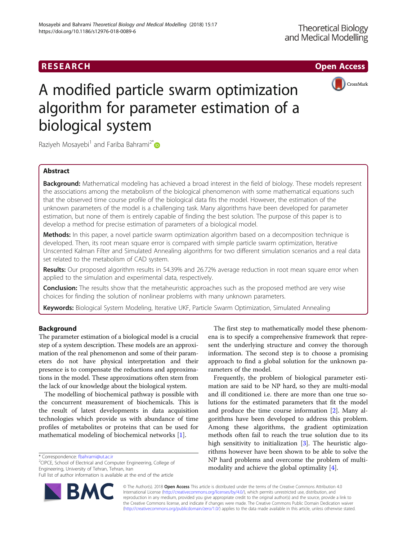# RESEARCH **RESEARCH CHOOSE ACCESS**



# A modified particle swarm optimization algorithm for parameter estimation of a biological system

Raziyeh Mosayebi<sup>1</sup> and Fariba Bahrami<sup>2[\\*](http://orcid.org/0000-0002-8214-1821)</sup>

# Abstract

**Background:** Mathematical modeling has achieved a broad interest in the field of biology. These models represent the associations among the metabolism of the biological phenomenon with some mathematical equations such that the observed time course profile of the biological data fits the model. However, the estimation of the unknown parameters of the model is a challenging task. Many algorithms have been developed for parameter estimation, but none of them is entirely capable of finding the best solution. The purpose of this paper is to develop a method for precise estimation of parameters of a biological model.

Methods: In this paper, a novel particle swarm optimization algorithm based on a decomposition technique is developed. Then, its root mean square error is compared with simple particle swarm optimization, Iterative Unscented Kalman Filter and Simulated Annealing algorithms for two different simulation scenarios and a real data set related to the metabolism of CAD system.

Results: Our proposed algorithm results in 54.39% and 26.72% average reduction in root mean square error when applied to the simulation and experimental data, respectively.

**Conclusion:** The results show that the metaheuristic approaches such as the proposed method are very wise choices for finding the solution of nonlinear problems with many unknown parameters.

Keywords: Biological System Modeling, Iterative UKF, Particle Swarm Optimization, Simulated Annealing

# Background

The parameter estimation of a biological model is a crucial step of a system description. These models are an approximation of the real phenomenon and some of their parameters do not have physical interpretation and their presence is to compensate the reductions and approximations in the model. These approximations often stem from the lack of our knowledge about the biological system.

The modelling of biochemical pathway is possible with the concurrent measurement of biochemicals. This is the result of latest developments in data acquisition technologies which provide us with abundance of time profiles of metabolites or proteins that can be used for mathematical modeling of biochemical networks [\[1](#page-9-0)].

\* Correspondence: [fbahrami@ut.ac.ir](mailto:fbahrami@ut.ac.ir) <sup>2</sup>

<sup>2</sup>CIPCE, School of Electrical and Computer Engineering, College of Engineering, University of Tehran, Tehran, Iran

Full list of author information is available at the end of the article



The first step to mathematically model these phenomena is to specify a comprehensive framework that represent the underlying structure and convey the thorough information. The second step is to choose a promising approach to find a global solution for the unknown parameters of the model.

Frequently, the problem of biological parameter estimation are said to be NP hard, so they are multi-modal and ill conditioned i.e. there are more than one true solutions for the estimated parameters that fit the model and produce the time course information [[2](#page-9-0)]. Many algorithms have been developed to address this problem. Among these algorithms, the gradient optimization methods often fail to reach the true solution due to its high sensitivity to initialization [\[3](#page-9-0)]. The heuristic algorithms however have been shown to be able to solve the NP hard problems and overcome the problem of multimodality and achieve the global optimality [[4\]](#page-9-0).

© The Author(s). 2018 Open Access This article is distributed under the terms of the Creative Commons Attribution 4.0 International License [\(http://creativecommons.org/licenses/by/4.0/](http://creativecommons.org/licenses/by/4.0/)), which permits unrestricted use, distribution, and reproduction in any medium, provided you give appropriate credit to the original author(s) and the source, provide a link to the Creative Commons license, and indicate if changes were made. The Creative Commons Public Domain Dedication waiver [\(http://creativecommons.org/publicdomain/zero/1.0/](http://creativecommons.org/publicdomain/zero/1.0/)) applies to the data made available in this article, unless otherwise stated.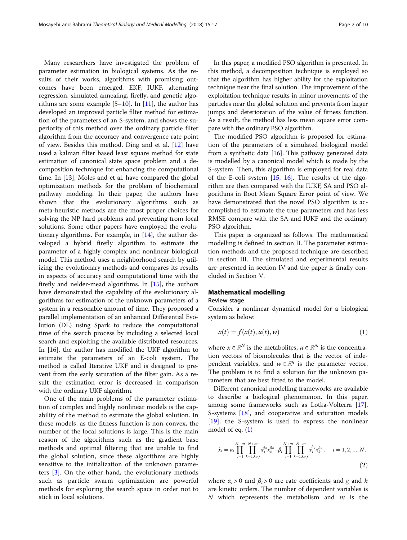<span id="page-1-0"></span>Many researchers have investigated the problem of parameter estimation in biological systems. As the results of their works, algorithms with promising outcomes have been emerged. EKF, IUKF, alternating regression, simulated annealing, firefly, and genetic algorithms are some example  $[5–10]$  $[5–10]$  $[5–10]$  $[5–10]$  $[5–10]$ . In [\[11\]](#page-9-0), the author has developed an improved particle filter method for estimation of the parameters of an S-system, and shows the superiority of this method over the ordinary particle filter algorithm from the accuracy and convergence rate point of view. Besides this method, Ding and et al. [[12\]](#page-9-0) have used a kalman filter based least square method for state estimation of canonical state space problem and a decomposition technique for enhancing the computational time. In [[13](#page-9-0)], Moles and et al. have compared the global optimization methods for the problem of biochemical pathway modeling. In their paper, the authors have shown that the evolutionary algorithms such as meta-heuristic methods are the most proper choices for solving the NP hard problems and preventing from local solutions. Some other papers have employed the evolutionary algorithms. For example, in [[14\]](#page-9-0), the author developed a hybrid firefly algorithm to estimate the parameter of a highly complex and nonlinear biological model. This method uses a neighborhood search by utilizing the evolutionary methods and compares its results in aspects of accuracy and computational time with the firefly and nelder-mead algorithms. In [[15\]](#page-9-0), the authors have demonstrated the capability of the evolutionary algorithms for estimation of the unknown parameters of a system in a reasonable amount of time. They proposed a parallel implementation of an enhanced Differential Evolution (DE) using Spark to reduce the computational time of the search process by including a selected local search and exploiting the available distributed resources. In [[16\]](#page-9-0), the author has modified the UKF algorithm to estimate the parameters of an E-coli system. The method is called Iterative UKF and is designed to prevent from the early saturation of the filter gain. As a result the estimation error is decreased in comparison with the ordinary UKF algorithm.

One of the main problems of the parameter estimation of complex and highly nonlinear models is the capability of the method to estimate the global solution. In these models, as the fitness function is non-convex, the number of the local solutions is large. This is the main reason of the algorithms such as the gradient base methods and optimal filtering that are unable to find the global solution, since these algorithms are highly sensitive to the initialization of the unknown parameters [\[3](#page-9-0)]. On the other hand, the evolutionary methods such as particle swarm optimization are powerful methods for exploring the search space in order not to stick in local solutions.

In this paper, a modified PSO algorithm is presented. In this method, a decomposition technique is employed so that the algorithm has higher ability for the exploitation technique near the final solution. The improvement of the exploitation technique results in minor movements of the particles near the global solution and prevents from larger jumps and deterioration of the value of fitness function. As a result, the method has less mean square error compare with the ordinary PSO algorithm.

The modified PSO algorithm is proposed for estimation of the parameters of a simulated biological model from a synthetic data [\[16](#page-9-0)]. This pathway generated data is modelled by a canonical model which is made by the S-system. Then, this algorithm is employed for real data of the E-coli system [\[15,](#page-9-0) [16\]](#page-9-0). The results of the algorithm are then compared with the IUKF, SA and PSO algorithms in Root Mean Square Error point of view. We have demonstrated that the novel PSO algorithm is accomplished to estimate the true parameters and has less RMSE compare with the SA and IUKF and the ordinary PSO algorithm.

This paper is organized as follows. The mathematical modelling is defined in section II. The parameter estimation methods and the proposed technique are described in section III. The simulated and experimental results are presented in section IV and the paper is finally concluded in Section V.

#### Mathematical modelling

#### Review stage

Consider a nonlinear dynamical model for a biological system as below:

$$
\dot{x}(t) = f(x(t), u(t), w)
$$
\n(1)

where  $x \in \mathbb{R}^N$  is the metabolites,  $u \in \mathbb{R}^m$  is the concentration vectors of biomolecules that is the vector of independent variables, and  $w \in \mathbb{R}^q$  is the parameter vector. The problem is to find a solution for the unknown parameters that are best fitted to the model.

Different canonical modelling frameworks are available to describe a biological phenomenon. In this paper, among some frameworks such as Lotka-Volterra [\[17](#page-9-0)], S-systems [[18\]](#page-9-0), and cooperative and saturation models [[19\]](#page-9-0), the S-system is used to express the nonlinear model of eq. (1)

$$
\dot{x}_i = \alpha_i \prod_{j=1}^{N+m} \prod_{k=1, k \neq j}^{N+m} x_j^{g_{ij}} x_k^{g_{ik}} - \beta_i \prod_{j=1}^{N+m} \prod_{k=1, k \neq j}^{N+m} x_j^{h_{ij}} x_k^{h_{ik}}, \quad i = 1, 2, ..., N,
$$
\n(2)

where  $\alpha_i > 0$  and  $\beta_i > 0$  are rate coefficients and g and h are kinetic orders. The number of dependent variables is  $N$  which represents the metabolism and  $m$  is the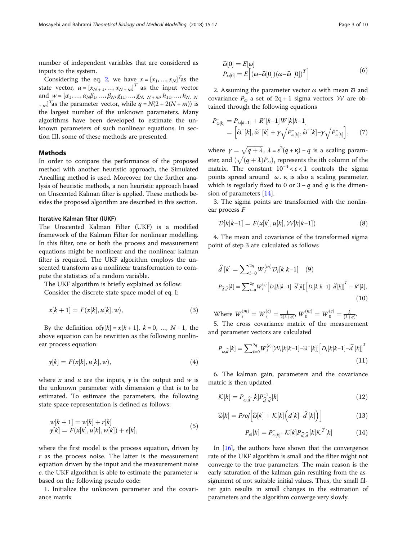number of independent variables that are considered as inputs to the system.

Considering the eq. [2](#page-1-0), we have  $x = [x_1, ..., x_N]^T$  as the state vector,  $u = [x_{N+1}, ..., x_{N+m}]^T$  as the input vector and  $w = [\alpha_1, ..., \alpha_N \beta_1, ..., \beta_N, g_{11}, ..., g_{N, N+m}, h_{11}, ..., h_{N, N}]$  $_{+m}$ <sup>T</sup>as the parameter vector, while  $q = N(2 + 2(N + m))$  is the largest number of the unknown parameters. Many algorithms have been developed to estimate the unknown parameters of such nonlinear equations. In section III, some of these methods are presented.

### Methods

In order to compare the performance of the proposed method with another heuristic approach, the Simulated Anealling method is used. Moreover, for the further analysis of heuristic methods, a non heuristic approach based on Unscented Kalman filter is applied. These methods besides the proposed algorithm are described in this section.

#### Iterative Kalman filter (IUKF)

The Unscented Kalman Filter (UKF) is a modified framework of the Kalman Filter for nonlinear modelling. In this filter, one or both the process and measurement equations might be nonlinear and the nonlinear kalman filter is required. The UKF algorithm employs the unscented transform as a nonlinear transformation to compute the statistics of a random variable.

The UKF algorithm is briefly explained as follow: Consider the discrete state space model of eq. I:

$$
x[k+1] = F(x[k], u[k], w),
$$
\n(3)

By the definition of  $y[k] = x[k+1]$ ,  $k = 0$ , ...,  $N-1$ , the above equation can be rewritten as the following nonlinear process equation:

$$
y[k] = F(x[k], u[k], w), \tag{4}
$$

where x and u are the inputs,  $y$  is the output and w is the unknown parameter with dimension  $q$  that is to be estimated. To estimate the parameters, the following state space representation is defined as follows:

$$
w[k+1] = w[k] + r[k] \n y[k] = F(x[k], u[k], w[k]) + e[k],
$$
\n(5)

where the first model is the process equation, driven by  $r$  as the process noise. The latter is the measurement equation driven by the input and the measurement noise e. the UKF algorithm is able to estimate the parameter  $w$ based on the following pseudo code:

1. Initialize the unknown parameter and the covariance matrix

$$
\begin{aligned}\n\widehat{\omega}[0] &= E[\omega] \\
P_{\omega[0]} &= E\left[ (\omega - \widehat{\omega}[0])(\omega - \widehat{\omega}[0])^T \right]\n\end{aligned} \tag{6}
$$

2. Assuming the parameter vector  $\omega$  with mean  $\overline{\omega}$  and covariance  $P_{\omega}$  a set of 2q + 1 sigma vectors W are obtained through the following equations

$$
P_{\omega[k]}^- = P_{\omega[k-1]} + R^r[k-1]W[k|k-1]
$$
  
= 
$$
\left[\widehat{\omega}^{-}[k], \widehat{\omega}^{-}[k] + \gamma \sqrt{P_{\omega[k]}^-}, \widehat{\omega}^{-}[k] - \gamma \sqrt{P_{\omega[k]}^-}\right],
$$
 (7)

where  $\gamma = \sqrt{q + \lambda}$ ,  $\lambda = \varepsilon^2 (q + \kappa) - q$  is a scaling parameter, and  $(\sqrt{(q+\lambda)P_\omega})$ <sub>i</sub> represents the ith column of the matrix. The constant  $10^{-4} < \varepsilon < 1$  controls the sigma points spread around  $\overline{\omega}$ . κ is also a scaling parameter, which is regularly fixed to 0 or  $3 - q$  and q is the dimension of parameters [[14\]](#page-9-0).

3. The sigma points are transformed with the nonlinear process F

$$
\mathcal{D}[k|k-1] = F(x[k], u[k], \mathcal{W}[k|k-1]) \tag{8}
$$

4. The mean and covariance of the transformed sigma point of step 3 are calculated as follows

$$
\hat{d}[k] = \sum_{i=0}^{2q} W_i^{(m)} \mathcal{D}_i[k|k-1] \quad (9)
$$
  

$$
P_{\hat{d},\hat{d}}[k] = \sum_{i=0}^{2q} W_i^{(c)} \left[ D_i[k|k-1] - \hat{d}[k] \right] \left[ D_i[k|k-1] - \hat{d}[k] \right]^T + R^e[k],
$$
  
(10)

Where  $W_i^{(m)} = W_i^{(c)} = \frac{1}{2(\lambda + q)}, W_0^{(m)} = W_0^{(c)} = \frac{\lambda}{(\lambda + q)}$ 5. The cross covariance matrix of the measurement

and parameter vectors are calculated

$$
P_{\omega,\widehat{d}}[k] = \sum_{i=0}^{2q} W_i^{(c)}[\mathcal{W}_i[k|k-1] - \widehat{\omega}^{-}[k]] \left[ D_i[k|k-1] - \widehat{d}[k] \right]^T
$$
\n(11)

6. The kalman gain, parameters and the covariance matric is then updated

$$
\mathcal{K}[k] = P_{\omega,\widehat{d}}[k]P_{\widehat{d},\widehat{d}}^{-1}[k] \tag{12}
$$

$$
\widehat{\omega}[k] = Proj\left[\widehat{\omega}[k] + \mathcal{K}[k]\left(d[k] - \widehat{d}[k]\right)\right]
$$
\n(13)

$$
P_{\omega}[k] = P_{\omega[k]}^- \mathcal{K}[k] P_{\widehat{d}, \widehat{d}}[k] \mathcal{K}^T[k] \tag{14}
$$

In [[16](#page-9-0)], the authors have shown that the convergence rate of the UKF algorithm is small and the filter might not converge to the true parameters. The main reason is the early saturation of the kalman gain resulting from the assignment of not suitable initial values. Thus, the small filter gain results in small changes in the estimation of parameters and the algorithm converge very slowly.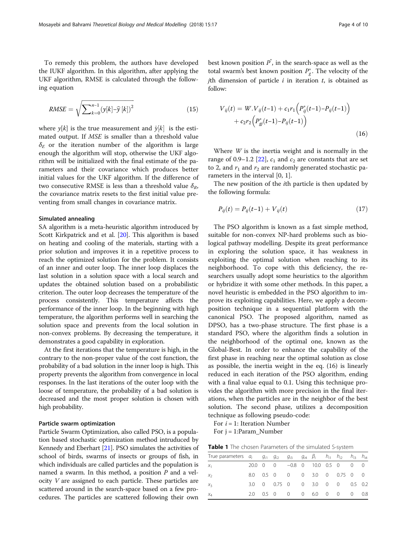<span id="page-3-0"></span>To remedy this problem, the authors have developed the IUKF algorithm. In this algorithm, after applying the UKF algorithm, RMSE is calculated through the following equation

$$
RMSE = \sqrt{\sum_{k=0}^{n-1} (y[k] - \widehat{y}[k])^2}
$$
\n(15)

where  $y[k]$  is the true measurement and  $\hat{y}[k]$  is the estimated output. If MSE is smaller than a threshold value  $\delta_E$  or the iteration number of the algorithm is large enough the algorithm will stop, otherwise the UKF algorithm will be initialized with the final estimate of the parameters and their covariance which produces better initial values for the UKF algorithm. If the difference of two consecutive RMSE is less than a threshold value  $\delta_R$ , the covariance matrix resets to the first initial value preventing from small changes in covariance matrix.

#### Simulated annealing

SA algorithm is a meta-heuristic algorithm introduced by Scott Kirkpatrick and et al. [\[20\]](#page-9-0). This algorithm is based on heating and cooling of the materials, starting with a prior solution and improves it in a repetitive process to reach the optimized solution for the problem. It consists of an inner and outer loop. The inner loop displaces the last solution in a solution space with a local search and updates the obtained solution based on a probabilistic criterion. The outer loop decreases the temperature of the process consistently. This temperature affects the performance of the inner loop. In the beginning with high temperature, the algorithm performs well in searching the solution space and prevents from the local solution in non-convex problems. By decreasing the temperature, it demonstrates a good capability in exploration.

At the first iterations that the temperature is high, in the contrary to the non-proper value of the cost function, the probability of a bad solution in the inner loop is high. This property prevents the algorithm from convergence in local responses. In the last iterations of the outer loop with the loose of temperature, the probability of a bad solution is decreased and the most proper solution is chosen with high probability.

#### Particle swarm optimization

Particle Swarm Optimization, also called PSO, is a population based stochastic optimization method intruduced by Kennedy and Eberhart [\[21\]](#page-9-0). PSO simulates the activities of school of birds, swarms of insects or groups of fish, in which individuals are called particles and the population is named a swarm. In this method, a position  $P$  and a velocity V are assigned to each particle. These particles are scattered around in the search-space based on a few procedures. The particles are scattered following their own

best known position  $P^*$ , in the search-space as well as the total swarm's best known position  $P_g^*$ . The velocity of the *j*th dimension of particle  $i$  in iteration  $t$ , is obtained as follow:

$$
V_{ij}(t) = W.V_{ij}(t-1) + c_1r_1(P_{ij}^*(t-1) - P_{ij}(t-1)) + c_2r_2(P_{ij}^*(t-1) - P_{ij}(t-1))
$$
\n(16)

Where W is the inertia weight and is normally in the range of 0.9–1.2 [\[22](#page-9-0)],  $c_1$  and  $c_2$  are constants that are set to 2, and  $r_1$  and  $r_2$  are randomly generated stochastic parameters in the interval [0, 1].

The new position of the ith particle is then updated by the following formula:

$$
P_{ij}(t) = P_{ij}(t-1) + V_{ij}(t)
$$
\n(17)

The PSO algorithm is known as a fast simple method, suitable for non-convex NP-hard problems such as biological pathway modelling. Despite its great performance in exploring the solution space, it has weakness in exploiting the optimal solution when reaching to its neighborhood. To cope with this deficiency, the researchers usually adopt some heuristics to the algorithm or hybridize it with some other methods. In this paper, a novel heuristic is embedded in the PSO algorithm to improve its exploiting capabilities. Here, we apply a decomposition technique in a sequential platform with the canonical PSO. The proposed algorithm, named as DPSO, has a two-phase structure. The first phase is a standard PSO, where the algorithm finds a solution in the neighborhood of the optimal one, known as the Global-Best. In order to enhance the capability of the first phase in reaching near the optimal solution as close as possible, the inertia weight in the eq. (16) is linearly reduced in each iteration of the PSO algorithm, ending with a final value equal to 0.1. Using this technique provides the algorithm with more precision in the final iterations, when the particles are in the neighbor of the best solution. The second phase, utilizes a decomposition technique as following pseudo-code:

For  $i = 1$ : Iteration Number

For  $j = 1$ : Param\_Number

|  |  |  | <b>Table 1</b> The chosen Parameters of the simulated S-system |  |  |  |
|--|--|--|----------------------------------------------------------------|--|--|--|
|--|--|--|----------------------------------------------------------------|--|--|--|

|  |  |  |  | True parameters $a_i$ $g_{i1}$ $g_{i2}$ $g_{i3}$ $g_{i4}$ $\beta_i$ $h_{i1}$ $h_{i2}$ $h_{i3}$ $h_{i4}$<br>20.0 0 0 -0.8 0 10.0 0.5 0 0 0<br>8.0 0.5 0 0 0 3.0 0 0.75 0 0<br>3.0 0 0.75 0 0 3.0 0 0 0.5 0.2<br>2.0 0.5 0 0 0 6.0 0 0 0 0.8 |
|--|--|--|--|--------------------------------------------------------------------------------------------------------------------------------------------------------------------------------------------------------------------------------------------|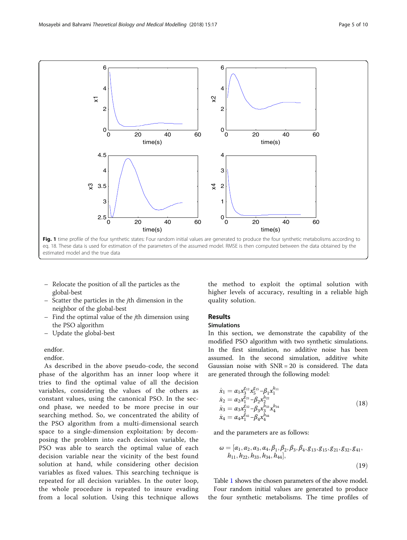<span id="page-4-0"></span>

- Relocate the position of all the particles as the global-best
- Scatter the particles in the jth dimension in the neighbor of the global-best
- Find the optimal value of the jth dimension using the PSO algorithm
- Update the global-best

endfor.

endfor.

As described in the above pseudo-code, the second phase of the algorithm has an inner loop where it tries to find the optimal value of all the decision variables, considering the values of the others as constant values, using the canonical PSO. In the second phase, we needed to be more precise in our searching method. So, we concentrated the ability of the PSO algorithm from a multi-dimensional search space to a single-dimension exploitation: by decomposing the problem into each decision variable, the PSO was able to search the optimal value of each decision variable near the vicinity of the best found solution at hand, while considering other decision variables as fixed values. This searching technique is repeated for all decision variables. In the outer loop, the whole procedure is repeated to insure evading from a local solution. Using this technique allows

the method to exploit the optimal solution with higher levels of accuracy, resulting in a reliable high quality solution.

# Results

# Simulations

In this section, we demonstrate the capability of the modified PSO algorithm with two synthetic simulations. In the first simulation, no additive noise has been assumed. In the second simulation, additive white Gaussian noise with  $SNR = 20$  is considered. The data are generated through the following model:

$$
\begin{aligned}\n\dot{x}_1 &= \alpha_1 x_3^{g_{12}} x_5^{g_{15}} - \beta_1 x_1^{h_{11}} \\
\dot{x}_2 &= \alpha_2 x_1^{g_{21}} - \beta_2 x_2^{h_{22}} \\
\dot{x}_3 &= \alpha_3 x_2^{g_{32}} - \beta_3 x_3^{h_{33}} x_4^{h_{34}} \\
\dot{x}_4 &= \alpha_4 x_1^{g_{41}} - \beta_4 x_4^{h_{44}}\n\end{aligned} \tag{18}
$$

and the parameters are as follows:

$$
\omega = [\alpha_1, \alpha_2, \alpha_3, \alpha_4, \beta_1, \beta_2, \beta_3, \beta_4, g_{13}, g_{15}, g_{21}, g_{32}, g_{41}, h_{11}, h_{22}, h_{33}, h_{34}, h_{44}],
$$
\n(19)

Table [1](#page-3-0) shows the chosen parameters of the above model. Four random initial values are generated to produce the four synthetic metabolisms. The time profiles of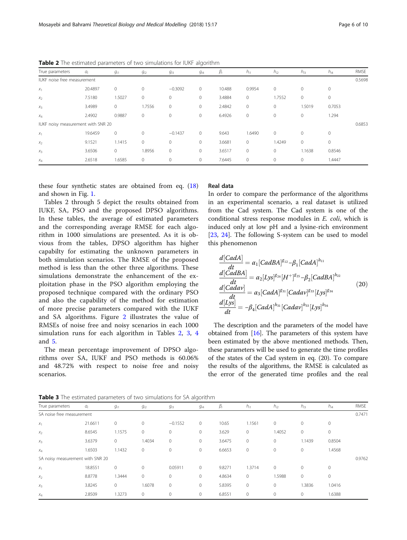| True parameters                    | $a_i$   | $g_{i1}$     | $g_{i2}$ | $g_{i3}$    | $g_{i4}$       | $\beta_i$ | $h_{i1}$     | $h_{i2}$ | $h_{i3}$     | $h_{i4}$     | RMSE   |
|------------------------------------|---------|--------------|----------|-------------|----------------|-----------|--------------|----------|--------------|--------------|--------|
| IUKF noise free measurement        |         |              |          |             |                |           |              |          |              |              | 0.5698 |
| $X_1$                              | 20.4897 | $\mathbf{0}$ | $\circ$  | $-0.3092$   | $\circ$        | 10.488    | 0.9954       | $\circ$  | $\mathbf{0}$ | $\mathbf{0}$ |        |
| $X_2$                              | 7.5180  | 1.5027       | $\circ$  | 0           | $\circ$        | 3.4884    | $\circ$      | 1.7552   | $\mathbf{0}$ | $\mathbf{0}$ |        |
| $X_3$                              | 3.4989  | $\mathbf{0}$ | 1.7556   | 0           | $\circ$        | 2.4842    | $\circ$      | 0        | 1.5019       | 0.7053       |        |
| $X_4$                              | 2.4902  | 0.9887       | $\circ$  | 0           | $\circ$        | 6.4926    | $\mathbf{0}$ | 0        | $\circ$      | 1.294        |        |
| IUKF noisy measurement with SNR 20 |         |              |          |             |                |           |              |          |              |              | 0.6853 |
| $X_1$                              | 19.6459 | $\mathbf{0}$ | $\circ$  | $-0.1437$   | $\overline{0}$ | 9.643     | 1.6490       | $\circ$  | $\mathbf{0}$ | $\mathbf{0}$ |        |
| $X_2$                              | 9.1521  | 1.1415       | $\circ$  | $\mathbf 0$ | $\circ$        | 3.6681    | $\circ$      | 1.4249   | $\mathbf{0}$ | 0            |        |
| $X_3$                              | 3.6506  | $\mathbf{0}$ | 1.8956   | 0           | $\mathbf{0}$   | 3.6517    | $\mathbf{0}$ | 0        | 1.1638       | 0.8546       |        |
| $X_4$                              | 2.6518  | 1.6585       | $\circ$  | 0           | $\circ$        | 7.6445    | $\mathbf{0}$ | 0        | $\mathbf{0}$ | 1.4447       |        |

Table 2 The estimated parameters of two simulations for IUKF algorithm

these four synthetic states are obtained from eq. ([18](#page-4-0)) and shown in Fig. [1](#page-4-0).

Tables 2 through 5 depict the results obtained from IUKF, SA, PSO and the proposed DPSO algorithms. In these tables, the average of estimated parameters and the corresponding average RMSE for each algorithm in 1000 simulations are presented. As it is obvious from the tables, DPSO algorithm has higher capabilty for estimating the unknown parameters in both simulation scenarios. The RMSE of the proposed method is less than the other three algorithms. These simulations demonstrate the enhancement of the exploitation phase in the PSO algorithm employing the proposed technique compared with the ordinary PSO and also the capability of the method for estimation of more precise parameters compared with the IUKF and SA algorithms. Figure [2](#page-7-0) illustrates the value of RMSEs of noise free and noisy scenarios in each 1000 simulation runs for each algorithm in Tables 2, 3, [4](#page-6-0) and [5.](#page-6-0)

The mean percentage improvement of DPSO algorithms over SA, IUKF and PSO methods is 60.06% and 48.72% with respect to noise free and noisy scenarios.

#### Real data

In order to compare the performance of the algorithms in an experimental scenario, a real dataset is utilized from the Cad system. The Cad system is one of the conditional stress response modules in E. coli, which is induced only at low pH and a lysine-rich environment [[23,](#page-9-0) [24\]](#page-9-0). The following S-system can be used to model this phenomenon

$$
\frac{d[CadA]}{dt} = \alpha_1 [CadBA]^{g_{12}} - \beta_1 [CadA]^{h_{11}}\n\frac{d[CadBA]}{dt} = \alpha_2 [Lys]^{g_{24}} [H^+]^{g_{25}} - \beta_2 [CadBA]^{h_{22}}\n\frac{d[Cadav]}{dt} = \alpha_3 [CadA]^{g_{31}} [Cadav]^{g_{33}} [Lys]^{g_{34}}\n\frac{d[Lys]}{dt} = -\beta_4 [CadA]^{h_{31}} [Cadav]^{h_{33}} [Lys]^{h_{34}}
$$
\n(20)

The description and the parameters of the model have obtained from [\[16](#page-9-0)]. The parameters of this system have been estimated by the above mentioned methods. Then, these parameters will be used to generate the time profiles of the states of the Cad system in eq. (20). To compare the results of the algorithms, the RMSE is calculated as the error of the generated time profiles and the real

Table 3 The estimated parameters of two simulations for SA algorithm

| True parameters                  | $a_i$   | $g_{i1}$       | $g_{i2}$     | $g_{i3}$  | $g_{i4}$     | $\beta_i$ | $h_{i1}$     | $h_{i2}$     | $h_{i3}$ | $h_{i4}$     | RMSE   |
|----------------------------------|---------|----------------|--------------|-----------|--------------|-----------|--------------|--------------|----------|--------------|--------|
| SA noise free measurement        |         |                |              |           |              |           |              |              |          |              | 0.7471 |
| $X_1$                            | 21.6611 | $\overline{0}$ | $\mathbf 0$  | $-0.1552$ | $\circ$      | 10.65     | 1.1561       | $\mathbf{0}$ | $\circ$  | $\mathbf{0}$ |        |
| $x_2$                            | 8.6545  | 1.1575         | $\mathbf 0$  | 0         | $\circ$      | 3.629     | $\circ$      | 1.4052       | $\circ$  | $\circ$      |        |
| $X_3$                            | 3.6379  | $\overline{0}$ | 1.4034       | $\circ$   | $\circ$      | 3.6475    | $\circ$      | $\circ$      | 1.1439   | 0.8504       |        |
| $X_4$                            | 1.6503  | 1.1432         | $\mathbf 0$  | $\circ$   | $\mathbf{0}$ | 6.6653    | $\mathbf{0}$ | $\circ$      | $\circ$  | 1.4568       |        |
| SA noisy measurement with SNR 20 |         |                |              |           |              |           |              |              |          |              | 0.9762 |
| $X_1$                            | 18.8551 | $\overline{0}$ | $\circ$      | 0.05911   | $\mathbf{0}$ | 9.8271    | 1.3714       | $\circ$      | $\circ$  | $\circ$      |        |
| $X_2$                            | 8.8778  | 1.3444         | $\mathbf{0}$ | $\circ$   | $\mathbf{0}$ | 4.8634    | $\circ$      | 1.5988       | $\circ$  | $\mathbf{0}$ |        |
| $X_3$                            | 3.8245  | $\mathbf{0}$   | 1.6078       | $\circ$   | $\circ$      | 5.8395    | $\circ$      | $\circ$      | 1.3836   | 1.0416       |        |
| $X_4$                            | 2.8509  | 1.3273         | $\mathbf 0$  | $\circ$   | $\mathbf{0}$ | 6.8551    | $\mathbf{0}$ | $\mathbf 0$  | $\circ$  | 1.6388       |        |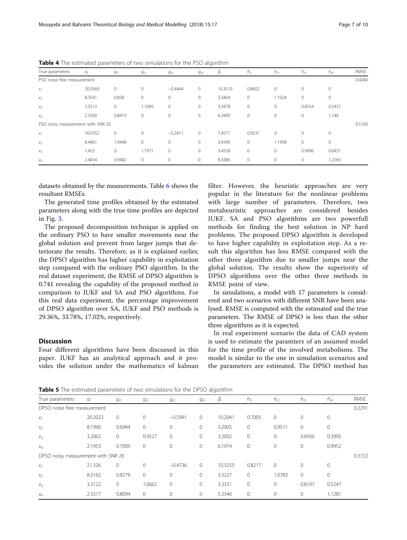| True parameters                   | $a_i$   | $g_{i1}$     | $g_{i2}$     | $g_{i3}$     | $g_{i4}$     | $\beta_i$ | $h_{i1}$     | $h_{i2}$ | $h_{i3}$     | $h_{i4}$ | RMSE   |
|-----------------------------------|---------|--------------|--------------|--------------|--------------|-----------|--------------|----------|--------------|----------|--------|
| PSO noise free measurement        |         |              |              |              |              |           |              |          |              |          | 0.4040 |
| $X_1$                             | 20.3569 | $\circ$      | $\mathbf{0}$ | $-0.4444$    | $\circ$      | 10.3510   | 0.8602       | $\circ$  | $\mathbf{0}$ | 0        |        |
| $X_2$                             | 8.3541  | 0.858        | $\circ$      | 0            | $\mathbf{0}$ | 3.3464    | $\circ$      | 1.1024   | $\mathbf{0}$ | 0        |        |
| $X_3$                             | 3.3513  | $\mathbf{0}$ | 1.1049       | $\mathbf{0}$ | 0            | 3.3478    | $\circ$      | $\circ$  | 0.8554       | 0.5437   |        |
| $X_4$                             | 2.3560  | 0.8419       | $\circ$      | 0            | $\circ$      | 6.3490    | $\mathbf{0}$ | $\circ$  | $\mathbf{0}$ | 1.148    |        |
| PSO noisy measurement with SNR 20 |         |              |              |              |              |           |              |          |              |          | 0.5160 |
| $X_1$                             | 16.0762 | $\mathbf{0}$ | $\circ$      | $-0.3411$    | $\circ$      | 7.4571    | 0.9537       | $\circ$  | $\mathbf{0}$ | 0        |        |
| $X_2$                             | 8.4461  | 1.9448       | $\circ$      | $\mathbf{0}$ | $\circ$      | 3.4396    | $\circ$      | 1.1908   | $\mathbf{0}$ | 0        |        |
| $X_3$                             | 1.453   | $\mathbf{0}$ | 1.1971       | $\mathbf{0}$ | $\circ$      | 3.4558    | $\circ$      | $\circ$  | 0.9496       | 0.6451   |        |
| $X_4$                             | 2.4434  | 0.9482       | $\circ$      | 0            | 0            | 8.4386    | $\mathbf{0}$ | $\circ$  | $\mathbf{0}$ | 1.2565   |        |

<span id="page-6-0"></span>Table 4 The estimated parameters of two simulations for the PSO algorithm

datasets obtained by the measurements. Table [6](#page-8-0) shows the resultant RMSEs.

The generated time profiles obtained by the estimated parameters along with the true time profiles are depicted in Fig. [3.](#page-8-0)

The proposed decomposition technique is applied on the ordinary PSO to have smaller movements near the global solution and prevent from larger jumps that deteriorate the results. Therefore, as it is explained earlier, the DPSO algorithm has higher capability in exploitation step compared with the ordinary PSO algorithm. In the real dataset experiment, the RMSE of DPSO algorithm is 0.741 revealing the capability of the proposed method in comparison to IUKF and SA and PSO algorithms. For this real data experiment, the percentage improvement of DPSO algorithm over SA, IUKF and PSO methods is 29.36%, 33.78%, 17.02%, respectively.

#### **Discussion**

Four different algorithms have been discussed in this paper. IUKF has an analytical approach and it provides the solution under the mathematics of kalman filter. However, the heuristic approaches are very popular in the literature for the nonlinear problems with large number of parameters. Therefore, two metaheuristic approaches are considered besides IUKF. SA and PSO algorithms are two powerfull methods for finding the best solution in NP hard problems. The proposed DPSO algorithm is developed to have higher capability in exploitation step. As a result this algorithm has less RMSE compared with the other three algorithm due to smaller jumps near the global solution. The results show the superiority of DPSO algorithms over the other three methods in RMSE point of view.

In simulations, a model with 17 parameters is considered and two scenarios with different SNR have been analysed. RMSE is computed with the estimated and the true parameters. The RMSE of DPSO is less than the other three algorithms as it is expected.

In real experiment scenario the data of CAD system is used to estimate the paramters of an assumed model for the time profile of the involved metabolisms. The model is similar to the one in simulation scenarios and the parameters are estimated. The DPSO method has

Table 5 The estimated parameters of two simulations for the DPSO algorithm

| True parameters                    | $\alpha_i$ | $g_{i1}$ | $g_{i2}$ | $g_{i3}$  | $g_{i4}$     | $\beta_i$ | $h_{i1}$     | $h_{i2}$     | $h_{i3}$     | $h_{i4}$    | <b>RMSE</b> |
|------------------------------------|------------|----------|----------|-----------|--------------|-----------|--------------|--------------|--------------|-------------|-------------|
| DPSO noise free measurement        |            |          |          |           |              |           |              |              |              |             | 0.2291      |
| $X_1$                              | 20.2023    | 0        | $\Omega$ | $-0.5991$ | $\Omega$     | 10.2041   | 0.7005       | $\mathbf{0}$ | $\mathbf{0}$ | $\Omega$    |             |
| $X_2$                              | 8.1990     | 0.6944   | $\circ$  | 0         | $\mathbf{0}$ | 3.2005    | $\mathbf{0}$ | 0.9511       | $\mathbf{0}$ | $\mathbf 0$ |             |
| $X_3$                              | 3.2062     | 0        | 0.9527   | 0         | $\mathbf{0}$ | 3.2002    | $\mathbf{0}$ | $\circ$      | 0.6936       | 0.3995      |             |
| $X_4$                              | 2.1953     | 0.7009   | 0        | 0         | $\mathbf{0}$ | 6.1974    | $\mathbf{0}$ | 0            | 0            | 0.9952      |             |
| DPSO noisy measurement with SNR 20 |            |          |          |           |              |           |              |              |              |             | 0.3722      |
| $X_1$                              | 21.326     | 0        | $\Omega$ | $-0.4736$ | $\Omega$     | 10.3255   | 0.8217       | $\mathbf{0}$ | $\circ$      | $\Omega$    |             |
| $X_2$                              | 8.3162     | 0.8279   | 0        | 0         | $\mathbf{0}$ | 3.3227    | $\mathbf{0}$ | 1.0783       | 0            | $\mathbf 0$ |             |
| $X_3$                              | 3.3122     | 0        | 1.0662   | $\circ$   | $\mathbf{0}$ | 3.3331    | $\mathbf{0}$ | $\circ$      | 0.8197       | 0.5247      |             |
| $X_4$                              | 2.3317     | 0.8094   | 0        | 0         | $\mathbf{0}$ | 5.3346    | $\mathbf{0}$ | $\circ$      | 0            | 1.1281      |             |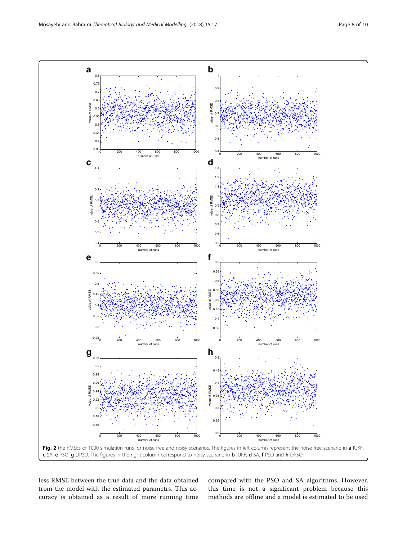<span id="page-7-0"></span>

less RMSE between the true data and the data obtained from the model with the estimated parametrs. This accuracy is obtained as a result of more running time compared with the PSO and SA algorithms. However, this time is not a significant problem because this methods are offline and a model is estimated to be used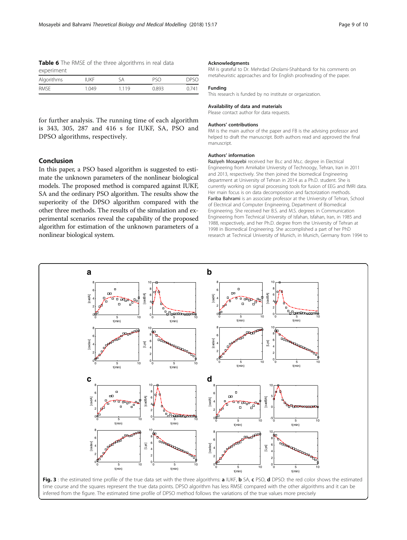<span id="page-8-0"></span>Table 6 The RMSE of the three algorithms in real data experiment

| Algorithms | <b>IUKF</b> | SΑ    | PSO   | <b>DPSC</b> |  |  |  |  |  |  |  |
|------------|-------------|-------|-------|-------------|--|--|--|--|--|--|--|
| RMSE       | 1.049       | 1.119 | 0.893 | 0.741       |  |  |  |  |  |  |  |

for further analysis. The running time of each algorithm is 343, 305, 287 and 416 s for IUKF, SA, PSO and DPSO algorithms, respectively.

## Conclusion

In this paper, a PSO based algorithm is suggested to estimate the unknown parameters of the nonlinear biological models. The proposed method is compared against IUKF, SA and the ordinary PSO algorithm. The results show the superiority of the DPSO algorithm compared with the other three methods. The results of the simulation and experimental scenarios reveal the capability of the proposed algorithm for estimation of the unknown parameters of a nonlinear biological system.

#### Acknowledgments

RM is grateful to Dr. Mehrdad Gholami-Shahbandi for his comments on metaheuristic approaches and for English proofreading of the paper.

#### Funding

This research is funded by no institute or organization.

#### Availability of data and materials

Please contact author for data requests.

#### Authors' contributions

RM is the main author of the paper and FB is the advising professor and helped to draft the manuscript. Both authors read and approved the final manuscript.

#### Authors' information

Raziyeh Mosayebi received her Bs.c and Ms.c. degree in Electrical Engineering from Amirkabir University of Technoogy, Tehran, Iran in 2011 and 2013, respectively. She then joined the biomedical Engineering department at University of Tehran in 2014 as a Ph.D. student. She is currently working on signal processing tools for fusion of EEG and fMRI data. Her main focus is on data decomposition and factorization methods. Fariba Bahrami is an associate professor at the University of Tehran, School of Electrical and Computer Engineering, Department of Biomedical Engineering. She received her B.S. and M.S. degrees in Communication Engineering from Technical University of Isfahan, Isfahan, Iran, in 1985 and 1988, respectively, and her Ph.D. degree from the University of Tehran at 1998 in Biomedical Engineering. She accomplished a part of her PhD research at Technical University of Munich, in Munich, Germany from 1994 to